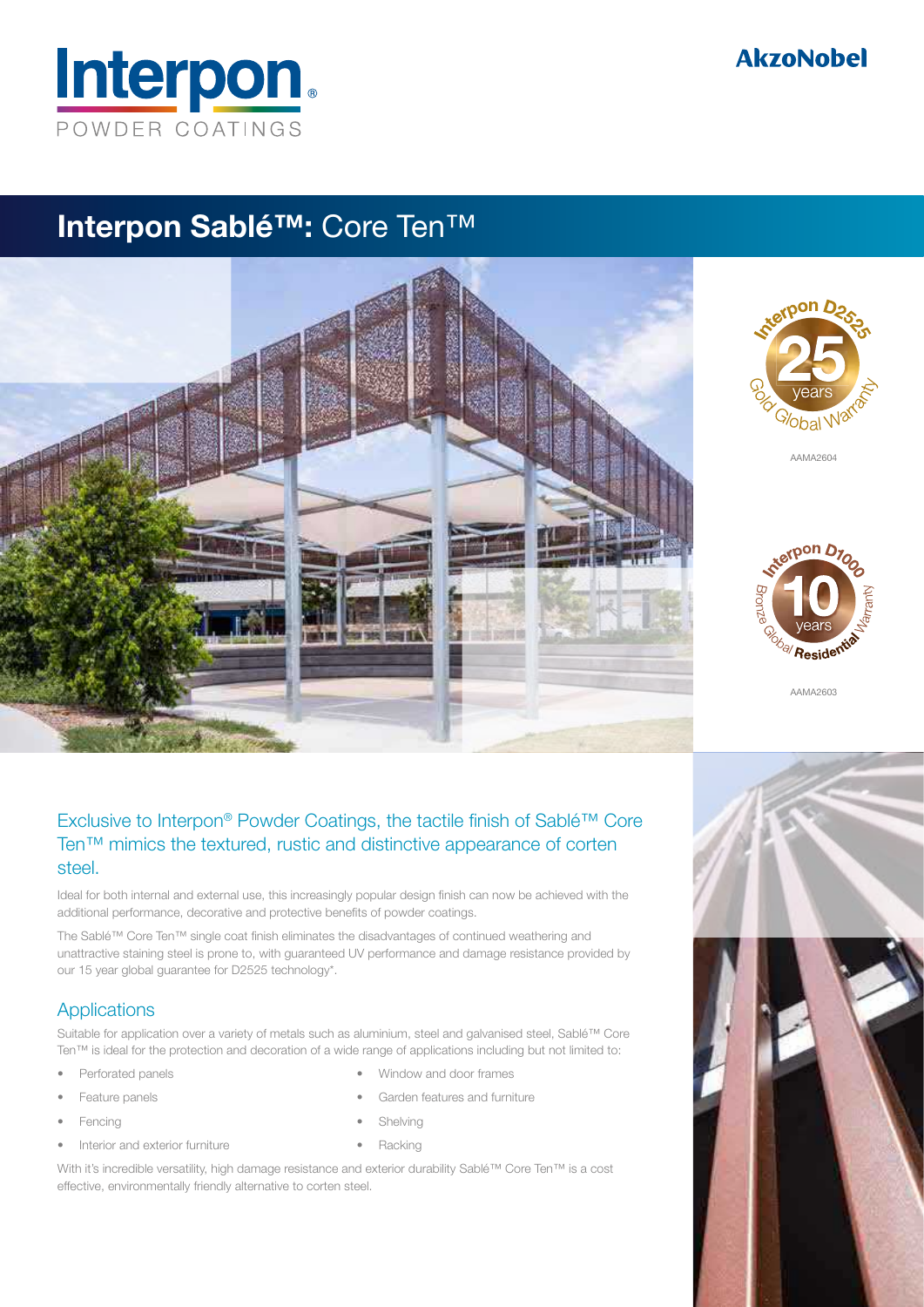

## **AkzoNobel**

## Interpon Sablé™: Core Ten™



## Exclusive to Interpon® Powder Coatings, the tactile finish of Sablé™ Core Ten™ mimics the textured, rustic and distinctive appearance of corten steel.

Ideal for both internal and external use, this increasingly popular design finish can now be achieved with the additional performance, decorative and protective benefits of powder coatings.

The Sablé™ Core Ten™ single coat finish eliminates the disadvantages of continued weathering and unattractive staining steel is prone to, with guaranteed UV performance and damage resistance provided by our 15 year global guarantee for D2525 technology\*.

### **Applications**

Suitable for application over a variety of metals such as aluminium, steel and galvanised steel, Sablé™ Core Ten™ is ideal for the protection and decoration of a wide range of applications including but not limited to:

- Perforated panels
- Feature panels
- **Fencing**
- Interior and exterior furniture
- Window and door frames
- Garden features and furniture
- Shelving
- Racking

With it's incredible versatility, high damage resistance and exterior durability Sablé™ Core Ten™ is a cost effective, environmentally friendly alternative to corten steel.